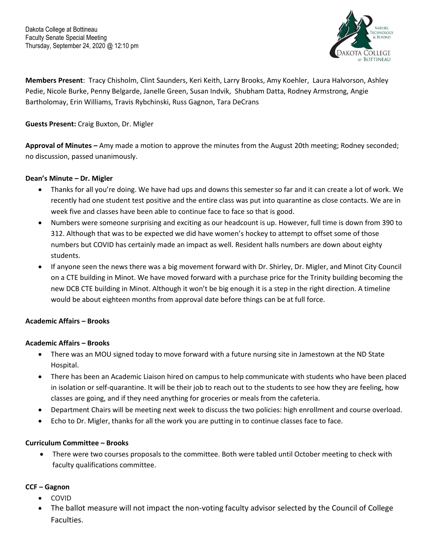

**Members Present**: Tracy Chisholm, Clint Saunders, Keri Keith, Larry Brooks, Amy Koehler, Laura Halvorson, Ashley Pedie, Nicole Burke, Penny Belgarde, Janelle Green, Susan Indvik, Shubham Datta, Rodney Armstrong, Angie Bartholomay, Erin Williams, Travis Rybchinski, Russ Gagnon, Tara DeCrans

# **Guests Present:** Craig Buxton, Dr. Migler

**Approval of Minutes –** Amy made a motion to approve the minutes from the August 20th meeting; Rodney seconded; no discussion, passed unanimously.

#### **Dean's Minute – Dr. Migler**

- Thanks for all you're doing. We have had ups and downs this semester so far and it can create a lot of work. We recently had one student test positive and the entire class was put into quarantine as close contacts. We are in week five and classes have been able to continue face to face so that is good.
- Numbers were someone surprising and exciting as our headcount is up. However, full time is down from 390 to 312. Although that was to be expected we did have women's hockey to attempt to offset some of those numbers but COVID has certainly made an impact as well. Resident halls numbers are down about eighty students.
- If anyone seen the news there was a big movement forward with Dr. Shirley, Dr. Migler, and Minot City Council on a CTE building in Minot. We have moved forward with a purchase price for the Trinity building becoming the new DCB CTE building in Minot. Although it won't be big enough it is a step in the right direction. A timeline would be about eighteen months from approval date before things can be at full force.

# **Academic Affairs – Brooks**

#### **Academic Affairs – Brooks**

- There was an MOU signed today to move forward with a future nursing site in Jamestown at the ND State Hospital.
- There has been an Academic Liaison hired on campus to help communicate with students who have been placed in isolation or self-quarantine. It will be their job to reach out to the students to see how they are feeling, how classes are going, and if they need anything for groceries or meals from the cafeteria.
- Department Chairs will be meeting next week to discuss the two policies: high enrollment and course overload.
- Echo to Dr. Migler, thanks for all the work you are putting in to continue classes face to face.

# **Curriculum Committee – Brooks**

• There were two courses proposals to the committee. Both were tabled until October meeting to check with faculty qualifications committee.

# **CCF – Gagnon**

- COVID
- The ballot measure will not impact the non-voting faculty advisor selected by the Council of College Faculties.